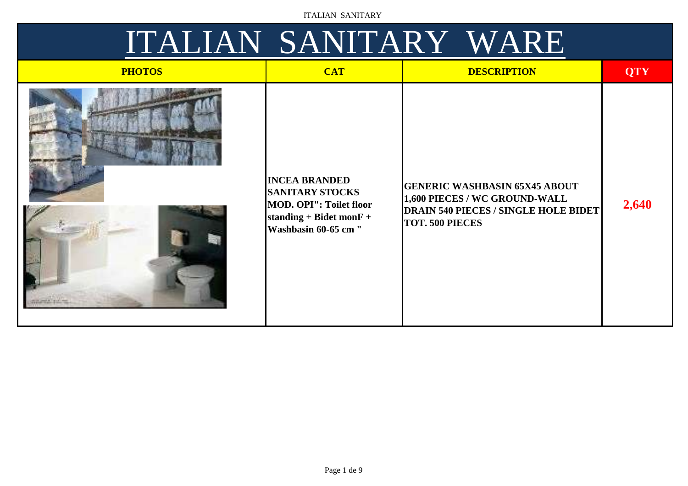| <b>PHOTOS</b> | <b>CAT</b>                                                                                                                             | <b>DESCRIPTION</b>                                                                                                                             | <b>QTY</b> |
|---------------|----------------------------------------------------------------------------------------------------------------------------------------|------------------------------------------------------------------------------------------------------------------------------------------------|------------|
|               | <b>INCEA BRANDED</b><br><b>SANITARY STOCKS</b><br><b>MOD. OPI": Toilet floor</b><br>standing + Bidet mon $F +$<br>Washbasin 60-65 cm " | <b>GENERIC WASHBASIN 65X45 ABOUT</b><br>1,600 PIECES / WC GROUND-WALL<br><b>DRAIN 540 PIECES / SINGLE HOLE BIDET</b><br><b>TOT. 500 PIECES</b> | 2,640      |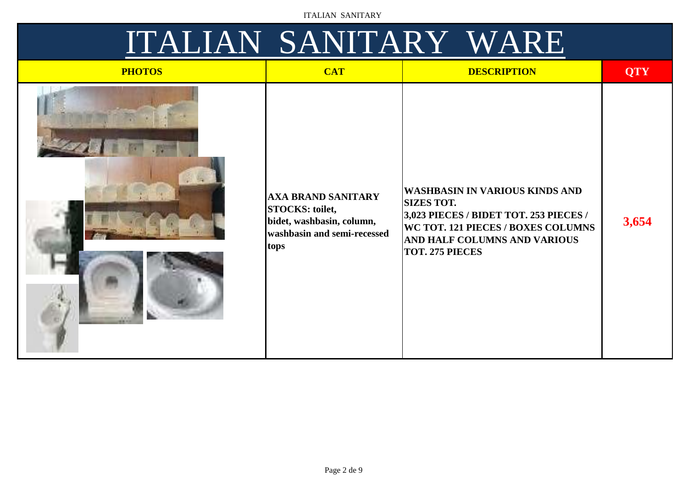| <b>PHOTOS</b> | <b>CAT</b>                                                                                                              | <b>DESCRIPTION</b>                                                                                                                                                                                          | <b>QTY</b> |
|---------------|-------------------------------------------------------------------------------------------------------------------------|-------------------------------------------------------------------------------------------------------------------------------------------------------------------------------------------------------------|------------|
| 高嘴            | <b>AXA BRAND SANITARY</b><br><b>STOCKS: toilet,</b><br>bidet, washbasin, column,<br>washbasin and semi-recessed<br>tops | WASHBASIN IN VARIOUS KINDS AND<br><b>SIZES TOT.</b><br>3,023 PIECES / BIDET TOT. 253 PIECES /<br><b>WC TOT. 121 PIECES / BOXES COLUMNS</b><br><b>AND HALF COLUMNS AND VARIOUS</b><br><b>TOT. 275 PIECES</b> | 3,654      |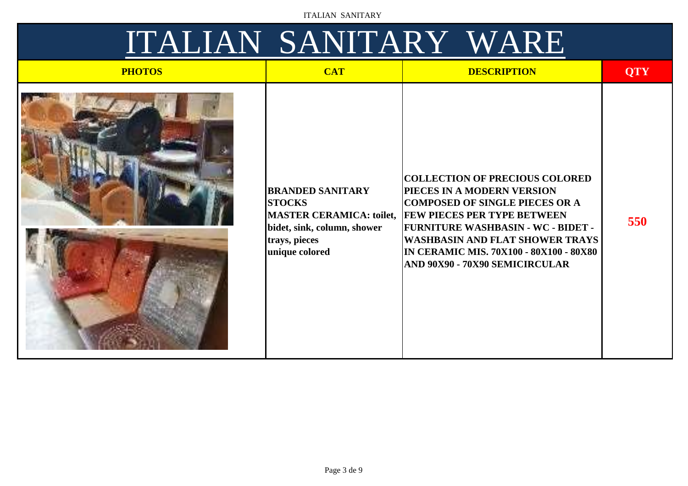| <b>PHOTOS</b> | <b>CAT</b>                                                                                                 | <b>DESCRIPTION</b>                                                                                                                                                                                                                                                                                                                                 | <b>QTY</b> |
|---------------|------------------------------------------------------------------------------------------------------------|----------------------------------------------------------------------------------------------------------------------------------------------------------------------------------------------------------------------------------------------------------------------------------------------------------------------------------------------------|------------|
|               | <b>BRANDED SANITARY</b><br><b>STOCKS</b><br>bidet, sink, column, shower<br>trays, pieces<br>unique colored | <b>COLLECTION OF PRECIOUS COLORED</b><br>PIECES IN A MODERN VERSION<br><b>COMPOSED OF SINGLE PIECES OR A</b><br>MASTER CERAMICA: toilet, FEW PIECES PER TYPE BETWEEN<br><b>FURNITURE WASHBASIN - WC - BIDET -</b><br> WASHBASIN AND FLAT SHOWER TRAYS  <br><b>IN CERAMIC MIS. 70X100 - 80X100 - 80X80</b><br><b>AND 90X90 - 70X90 SEMICIRCULAR</b> | 550        |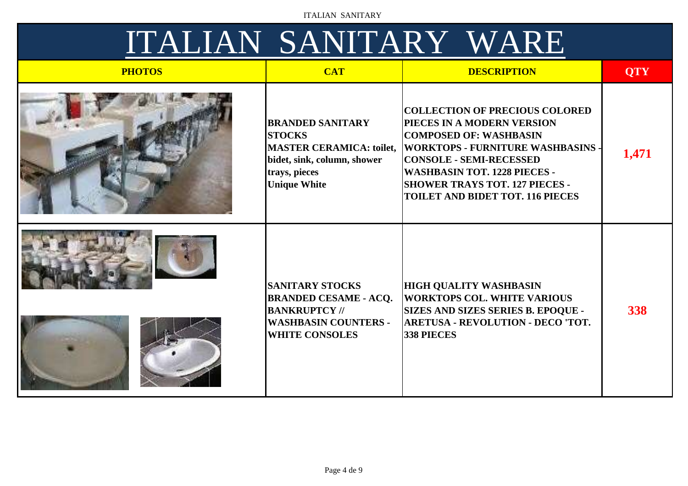| <b>PHOTOS</b> | <b>CAT</b>                                                                                                                                         | <b>DESCRIPTION</b>                                                                                                                                                                                                                                                                                            | <b>QTY</b> |
|---------------|----------------------------------------------------------------------------------------------------------------------------------------------------|---------------------------------------------------------------------------------------------------------------------------------------------------------------------------------------------------------------------------------------------------------------------------------------------------------------|------------|
|               | <b>BRANDED SANITARY</b><br><b>STOCKS</b><br><b>MASTER CERAMICA: toilet,</b><br>bidet, sink, column, shower<br>trays, pieces<br><b>Unique White</b> | <b>COLLECTION OF PRECIOUS COLORED</b><br>PIECES IN A MODERN VERSION<br><b>COMPOSED OF: WASHBASIN</b><br><b>WORKTOPS - FURNITURE WASHBASINS -</b><br><b>CONSOLE - SEMI-RECESSED</b><br><b>WASHBASIN TOT. 1228 PIECES -</b><br><b>SHOWER TRAYS TOT. 127 PIECES -</b><br><b>TOILET AND BIDET TOT. 116 PIECES</b> | 1,471      |
|               | <b>SANITARY STOCKS</b><br><b>BRANDED CESAME - ACQ.</b><br><b>BANKRUPTCY //</b><br><b>WASHBASIN COUNTERS -</b><br><b>WHITE CONSOLES</b>             | <b>HIGH QUALITY WASHBASIN</b><br><b>WORKTOPS COL. WHITE VARIOUS</b><br><b>SIZES AND SIZES SERIES B. EPOQUE -</b><br><b>ARETUSA - REVOLUTION - DECO 'TOT.</b><br>338 PIECES                                                                                                                                    | 338        |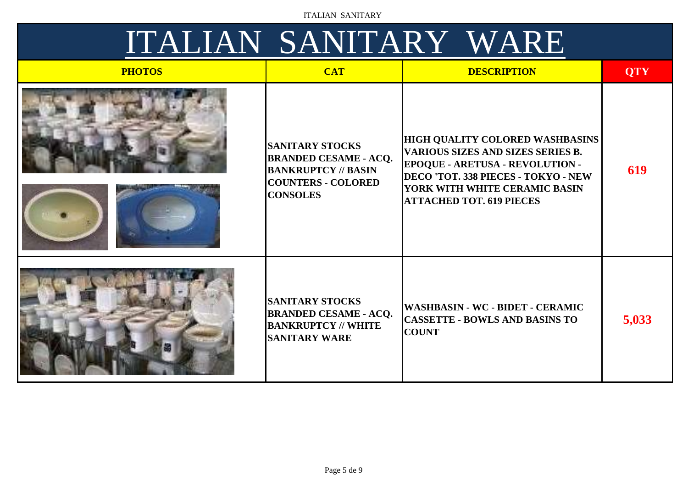| <b>PHOTOS</b> | <b>CAT</b>                                                                                                                           | <b>DESCRIPTION</b>                                                                                                                                                                                                                        | <b>QTY</b> |
|---------------|--------------------------------------------------------------------------------------------------------------------------------------|-------------------------------------------------------------------------------------------------------------------------------------------------------------------------------------------------------------------------------------------|------------|
|               | <b>SANITARY STOCKS</b><br><b>BRANDED CESAME - ACQ.</b><br><b>BANKRUPTCY // BASIN</b><br><b>COUNTERS - COLORED</b><br><b>CONSOLES</b> | HIGH QUALITY COLORED WASHBASINS  <br><b>VARIOUS SIZES AND SIZES SERIES B.</b><br><b>EPOQUE - ARETUSA - REVOLUTION -</b><br><b>DECO 'TOT. 338 PIECES - TOKYO - NEW</b><br>YORK WITH WHITE CERAMIC BASIN<br><b>ATTACHED TOT. 619 PIECES</b> | 619        |
|               | <b>SANITARY STOCKS</b><br><b>BRANDED CESAME - ACQ.</b><br><b>BANKRUPTCY // WHITE</b><br><b>SANITARY WARE</b>                         | <b>WASHBASIN - WC - BIDET - CERAMIC</b><br><b>CASSETTE - BOWLS AND BASINS TO</b><br><b>COUNT</b>                                                                                                                                          | 5,033      |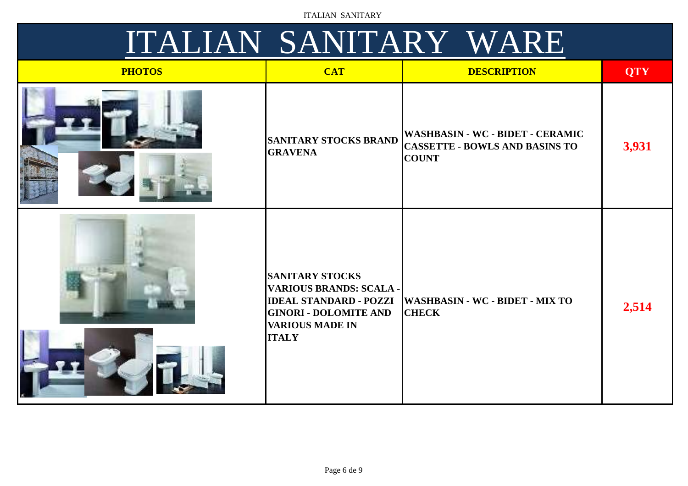|  | ITALIAN SANITARY WARE |  |
|--|-----------------------|--|
|--|-----------------------|--|

| <b>PHOTOS</b> | <b>CAT</b>                                                                                                                                                   | <b>DESCRIPTION</b>                                                                        | <b>QTY</b> |
|---------------|--------------------------------------------------------------------------------------------------------------------------------------------------------------|-------------------------------------------------------------------------------------------|------------|
|               | <b>SANITARY STOCKS BRAND</b><br><b>GRAVENA</b>                                                                                                               | WASHBASIN - WC - BIDET - CERAMIC<br><b>CASSETTE - BOWLS AND BASINS TO</b><br><b>COUNT</b> | 3,931      |
|               | <b>SANITARY STOCKS</b><br>VARIOUS BRANDS: SCALA -<br><b>IDEAL STANDARD - POZZI</b><br><b>GINORI - DOLOMITE AND</b><br><b>VARIOUS MADE IN</b><br><b>ITALY</b> | <b>WASHBASIN - WC - BIDET - MIX TO</b><br><b>CHECK</b>                                    | 2,514      |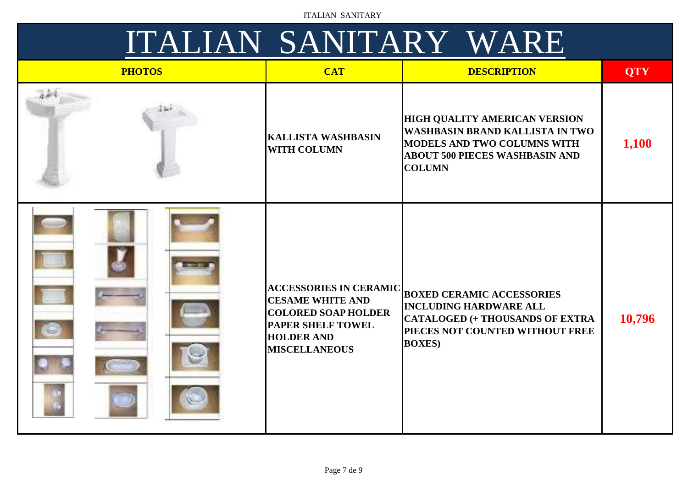| <b>PHOTOS</b> | <b>CAT</b>                                                                                                                                                      | <b>DESCRIPTION</b>                                                                                                                                                      | <b>QTY</b> |
|---------------|-----------------------------------------------------------------------------------------------------------------------------------------------------------------|-------------------------------------------------------------------------------------------------------------------------------------------------------------------------|------------|
|               | <b>KALLISTA WASHBASIN</b><br><b>WITH COLUMN</b>                                                                                                                 | <b>HIGH QUALITY AMERICAN VERSION</b><br><b>WASHBASIN BRAND KALLISTA IN TWO</b><br>MODELS AND TWO COLUMNS WITH<br><b>ABOUT 500 PIECES WASHBASIN AND</b><br><b>COLUMN</b> | 1,100      |
|               | <b>ACCESSORIES IN CERAMIC</b><br><b>CESAME WHITE AND</b><br><b>COLORED SOAP HOLDER</b><br><b>PAPER SHELF TOWEL</b><br><b>HOLDER AND</b><br><b>MISCELLANEOUS</b> | <b>BOXED CERAMIC ACCESSORIES</b><br><b>INCLUDING HARDWARE ALL</b><br><b>CATALOGED (+ THOUSANDS OF EXTRA</b><br>PIECES NOT COUNTED WITHOUT FREE<br><b>BOXES</b> )        | 10,796     |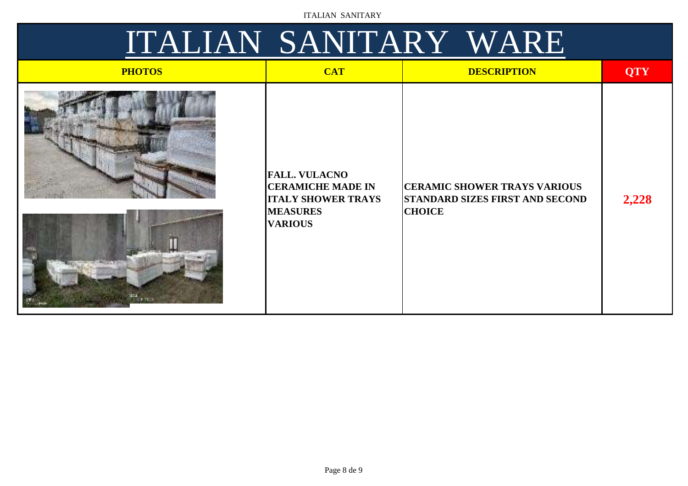| <b>PHOTOS</b>   | <b>CAT</b>                                                                                                         | <b>DESCRIPTION</b>                                                                             | <b>QTY</b> |
|-----------------|--------------------------------------------------------------------------------------------------------------------|------------------------------------------------------------------------------------------------|------------|
| <b>ELECTRIC</b> | <b>FALL. VULACNO</b><br><b>CERAMICHE MADE IN</b><br><b>ITALY SHOWER TRAYS</b><br><b>MEASURES</b><br><b>VARIOUS</b> | <b>CERAMIC SHOWER TRAYS VARIOUS</b><br><b>STANDARD SIZES FIRST AND SECOND</b><br><b>CHOICE</b> | 2,228      |